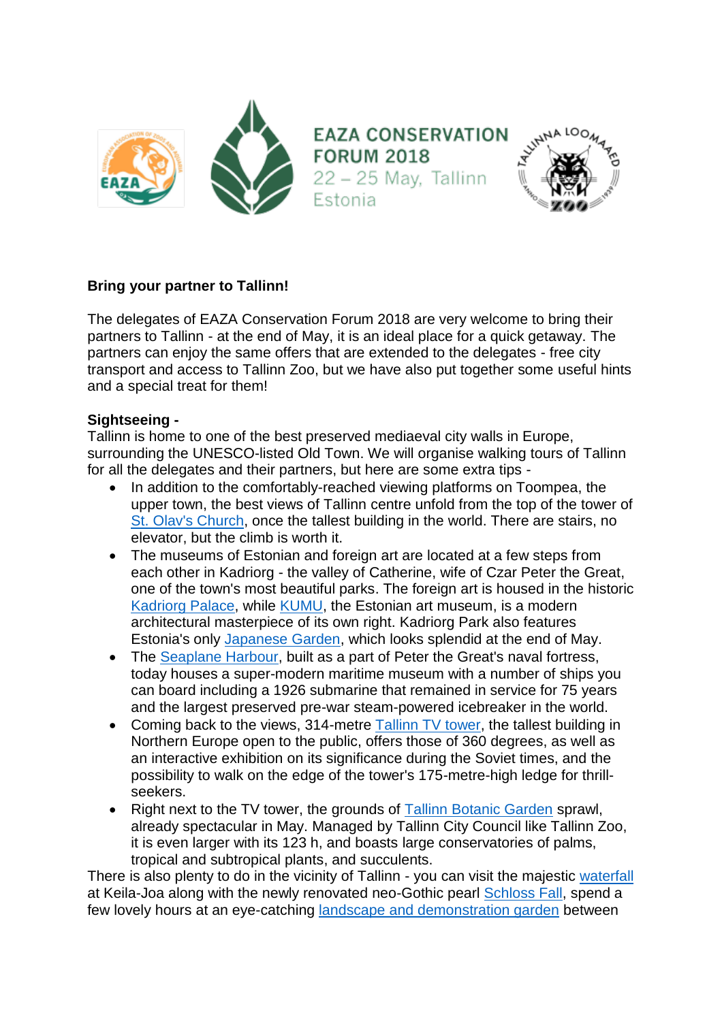

## **Bring your partner to Tallinn!**

The delegates of EAZA Conservation Forum 2018 are very welcome to bring their partners to Tallinn - at the end of May, it is an ideal place for a quick getaway. The partners can enjoy the same offers that are extended to the delegates - free city transport and access to Tallinn Zoo, but we have also put together some useful hints and a special treat for them!

## **Sightseeing -**

Tallinn is home to one of the best preserved mediaeval city walls in Europe, surrounding the UNESCO-listed Old Town. We will organise walking tours of Tallinn for all the delegates and their partners, but here are some extra tips -

- In addition to the comfortably-reached viewing platforms on Toompea, the upper town, the best views of Tallinn centre unfold from the top of the tower of [St. Olav's Church,](https://www.visittallinn.ee/eng/visitor/see-do/sightseeing/pid-314/st-olav-s-church-and-tower) once the tallest building in the world. There are stairs, no elevator, but the climb is worth it.
- The museums of Estonian and foreign art are located at a few steps from each other in Kadriorg - the valley of Catherine, wife of Czar Peter the Great, one of the town's most beautiful parks. The foreign art is housed in the historic [Kadriorg Palace,](https://www.visittallinn.ee/eng/visitor/see-do/sightseeing/pid-174728/kadriorg-palace-kadriorg-art-museum) while [KUMU,](http://kumu.ekm.ee/en/) the Estonian art museum, is a modern architectural masterpiece of its own right. Kadriorg Park also features Estonia's only [Japanese Garden,](https://www.visitestonia.com/en/japanese-garden-in-kardiorg-park) which looks splendid at the end of May.
- The [Seaplane Harbour,](http://meremuuseum.ee/lennusadam/en/) built as a part of Peter the Great's naval fortress, today houses a super-modern maritime museum with a number of ships you can board including a 1926 submarine that remained in service for 75 years and the largest preserved pre-war steam-powered icebreaker in the world.
- Coming back to the views, 314-metre [Tallinn TV tower,](http://www.teletorn.ee/en/) the tallest building in Northern Europe open to the public, offers those of 360 degrees, as well as an interactive exhibition on its significance during the Soviet times, and the possibility to walk on the edge of the tower's 175-metre-high ledge for thrillseekers.
- Right next to the TV tower, the grounds of [Tallinn Botanic Garden](http://botaanikaaed.ee/en/) sprawl, already spectacular in May. Managed by Tallinn City Council like Tallinn Zoo, it is even larger with its 123 h, and boasts large conservatories of palms, tropical and subtropical plants, and succulents.

There is also plenty to do in the vicinity of Tallinn - you can visit the majestic [waterfall](https://www.visitestonia.com/en/keila-waterfall) at Keila-Joa along with the newly renovated neo-Gothic pearl [Schloss Fall,](http://schlossfall.com/?lang=en) spend a few lovely hours at an eye-catching [landscape and demonstration garden](https://www.visitestonia.com/en/visit-to-a-demonstration-and-landscape-garden-by-rar-garden-design) between